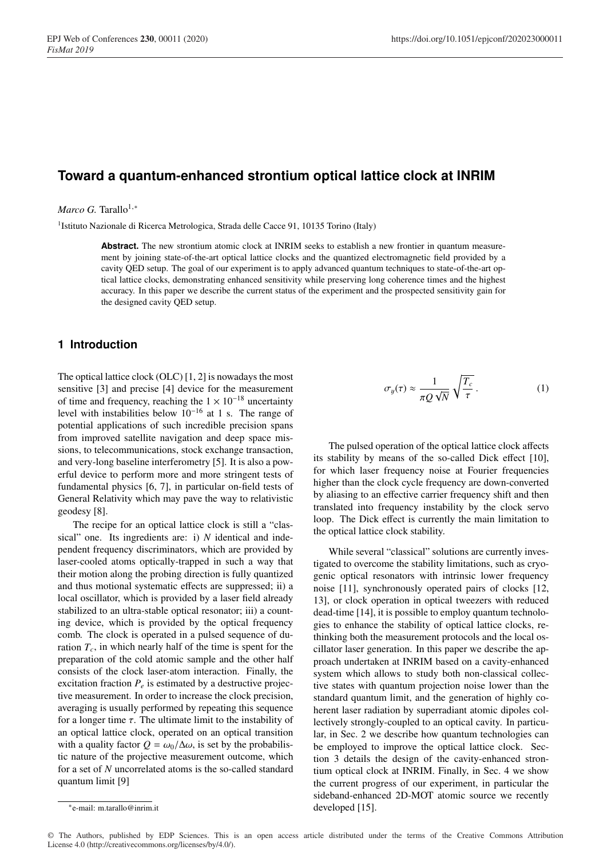# **Toward a quantum-enhanced strontium optical lattice clock at INRIM**

#### *Marco G.* Tarallo<sup>1,∗</sup>

1Istituto Nazionale di Ricerca Metrologica, Strada delle Cacce 91, 10135 Torino (Italy)

**Abstract.** The new strontium atomic clock at INRIM seeks to establish a new frontier in quantum measurement by joining state-of-the-art optical lattice clocks and the quantized electromagnetic field provided by a cavity QED setup. The goal of our experiment is to apply advanced quantum techniques to state-of-the-art optical lattice clocks, demonstrating enhanced sensitivity while preserving long coherence times and the highest accuracy. In this paper we describe the current status of the experiment and the prospected sensitivity gain for the designed cavity QED setup.

### **1 Introduction**

The optical lattice clock (OLC) [1, 2] is nowadays the most sensitive [3] and precise [4] device for the measurement of time and frequency, reaching the  $1 \times 10^{-18}$  uncertainty level with instabilities below 10−<sup>16</sup> at 1 s. The range of potential applications of such incredible precision spans from improved satellite navigation and deep space missions, to telecommunications, stock exchange transaction, and very-long baseline interferometry [5]. It is also a powerful device to perform more and more stringent tests of fundamental physics [6, 7], in particular on-field tests of General Relativity which may pave the way to relativistic geodesy [8].

The recipe for an optical lattice clock is still a "classical" one. Its ingredients are: i) *N* identical and independent frequency discriminators, which are provided by laser-cooled atoms optically-trapped in such a way that their motion along the probing direction is fully quantized and thus motional systematic effects are suppressed; ii) a local oscillator, which is provided by a laser field already stabilized to an ultra-stable optical resonator; iii) a counting device, which is provided by the optical frequency comb. The clock is operated in a pulsed sequence of duration  $T_c$ , in which nearly half of the time is spent for the preparation of the cold atomic sample and the other half consists of the clock laser-atom interaction. Finally, the excitation fraction  $P_e$  is estimated by a destructive projective measurement. In order to increase the clock precision, averaging is usually performed by repeating this sequence for a longer time  $\tau$ . The ultimate limit to the instability of an optical lattice clock, operated on an optical transition with a quality factor  $Q = \omega_0/\Delta\omega$ , is set by the probabilistic nature of the projective measurement outcome, which for a set of *N* uncorrelated atoms is the so-called standard quantum limit [9]

The pulsed operation of the optical lattice clock affects its stability by means of the so-called Dick effect [10], for which laser frequency noise at Fourier frequencies higher than the clock cycle frequency are down-converted by aliasing to an effective carrier frequency shift and then translated into frequency instability by the clock servo loop. The Dick effect is currently the main limitation to the optical lattice clock stability.

While several "classical" solutions are currently investigated to overcome the stability limitations, such as cryogenic optical resonators with intrinsic lower frequency noise [11], synchronously operated pairs of clocks [12, 13], or clock operation in optical tweezers with reduced dead-time [14], it is possible to employ quantum technologies to enhance the stability of optical lattice clocks, rethinking both the measurement protocols and the local oscillator laser generation. In this paper we describe the approach undertaken at INRIM based on a cavity-enhanced system which allows to study both non-classical collective states with quantum projection noise lower than the standard quantum limit, and the generation of highly coherent laser radiation by superradiant atomic dipoles collectively strongly-coupled to an optical cavity. In particular, in Sec. 2 we describe how quantum technologies can be employed to improve the optical lattice clock. Section 3 details the design of the cavity-enhanced strontium optical clock at INRIM. Finally, in Sec. 4 we show the current progress of our experiment, in particular the sideband-enhanced 2D-MOT atomic source we recently developed [15].

© The Authors, published by EDP Sciences. This is an open access article distributed under the terms of the Creative Commons Attribution License 4.0 (http://creativecommons.org/licenses/by/4.0/).

 $\sigma_y(\tau) \approx \frac{1}{\pi Q\, \sqrt{N}}$  $\sqrt{T_c}$  $\frac{\tau_c}{\tau}$ . (1)

<sup>∗</sup>e-mail: m.tarallo@inrim.it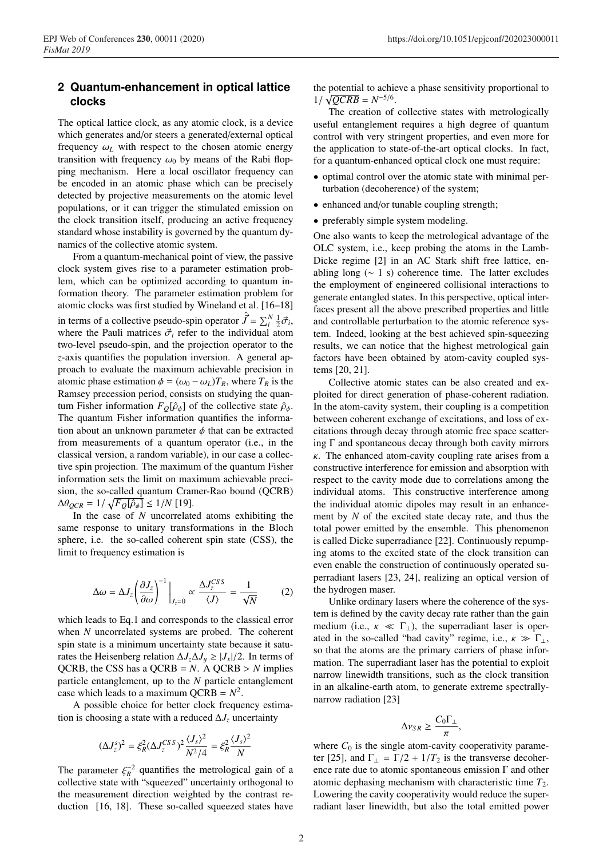# **2 Quantum-enhancement in optical lattice clocks**

The optical lattice clock, as any atomic clock, is a device which generates and/or steers a generated/external optical frequency  $\omega_L$  with respect to the chosen atomic energy transition with frequency  $\omega_0$  by means of the Rabi flopping mechanism. Here a local oscillator frequency can be encoded in an atomic phase which can be precisely detected by projective measurements on the atomic level populations, or it can trigger the stimulated emission on the clock transition itself, producing an active frequency standard whose instability is governed by the quantum dynamics of the collective atomic system.

From a quantum-mechanical point of view, the passive clock system gives rise to a parameter estimation problem, which can be optimized according to quantum information theory. The parameter estimation problem for atomic clocks was first studied by Wineland et al. [16–18] in terms of a collective pseudo-spin operator  $\hat{\vec{J}} = \sum_{i=1}^{N} \frac{1}{2} \vec{\sigma}_i$ , where the Pauli matrices  $\vec{\sigma}_i$  refer to the individual atom two-level pseudo-spin, and the projection operator to the *z*-axis quantifies the population inversion. A general approach to evaluate the maximum achievable precision in atomic phase estimation  $\phi = (\omega_0 - \omega_L)T_R$ , where  $T_R$  is the Ramsey precession period, consists on studying the quantum Fisher information  $F_Q[\hat{\rho}_{\phi}]$  of the collective state  $\hat{\rho}_{\phi}$ . The quantum Fisher information quantifies the information about an unknown parameter  $\phi$  that can be extracted from measurements of a quantum operator (i.e., in the classical version, a random variable), in our case a collective spin projection. The maximum of the quantum Fisher information sets the limit on maximum achievable precision, the so-called quantum Cramer-Rao bound (QCRB)  $\Delta\theta_{QCR} = 1/\sqrt{F_Q[\hat{\rho}_\phi]} \le 1/N$  [19].

In the case of *N* uncorrelated atoms exhibiting the same response to unitary transformations in the Bloch sphere, i.e. the so-called coherent spin state (CSS), the limit to frequency estimation is

$$
\Delta \omega = \Delta J_z \left( \frac{\partial J_z}{\partial \omega} \right)^{-1} \Big|_{J_z = 0} \propto \frac{\Delta J_z^{CSS}}{\langle J \rangle} = \frac{1}{\sqrt{N}} \tag{2}
$$

which leads to Eq.1 and corresponds to the classical error when *N* uncorrelated systems are probed. The coherent spin state is a minimum uncertainty state because it saturates the Heisenberg relation  $\Delta J_z \Delta J_y \geq |J_x|/2$ . In terms of QCRB, the CSS has a QCRB =  $N$ . A QCRB >  $N$  implies particle entanglement, up to the *N* particle entanglement case which leads to a maximum  $QCRB = N^2$ .

A possible choice for better clock frequency estimation is choosing a state with a reduced ∆*Jz* uncertainty

$$
(\Delta J_z^s)^2 = \xi_R^2 (\Delta J_z^{CSS})^2 \frac{\langle J_s \rangle^2}{N^2/4} = \xi_R^2 \frac{\langle J_s \rangle^2}{N}
$$

The parameter  $\xi_R^{-2}$  quantifies the metrological gain of a collective state with "squeezed" uncertainty orthogonal to the measurement direction weighted by the contrast reduction [16, 18]. These so-called squeezed states have the potential to achieve a phase sensitivity proportional to  $1/\sqrt{QCRB} = N^{-5/6}$ .

The creation of collective states with metrologically useful entanglement requires a high degree of quantum control with very stringent properties, and even more for the application to state-of-the-art optical clocks. In fact, for a quantum-enhanced optical clock one must require:

- optimal control over the atomic state with minimal perturbation (decoherence) of the system;
- enhanced and/or tunable coupling strength;
- preferably simple system modeling.

One also wants to keep the metrological advantage of the OLC system, i.e., keep probing the atoms in the Lamb-Dicke regime [2] in an AC Stark shift free lattice, enabling long ( $~1$  s) coherence time. The latter excludes the employment of engineered collisional interactions to generate entangled states. In this perspective, optical interfaces present all the above prescribed properties and little and controllable perturbation to the atomic reference system. Indeed, looking at the best achieved spin-squeezing results, we can notice that the highest metrological gain factors have been obtained by atom-cavity coupled systems [20, 21].

Collective atomic states can be also created and exploited for direct generation of phase-coherent radiation. In the atom-cavity system, their coupling is a competition between coherent exchange of excitations, and loss of excitations through decay through atomic free space scattering  $\Gamma$  and spontaneous decay through both cavity mirrors  $\kappa$ . The enhanced atom-cavity coupling rate arises from a constructive interference for emission and absorption with respect to the cavity mode due to correlations among the individual atoms. This constructive interference among the individual atomic dipoles may result in an enhancement by *N* of the excited state decay rate, and thus the total power emitted by the ensemble. This phenomenon is called Dicke superradiance [22]. Continuously repumping atoms to the excited state of the clock transition can even enable the construction of continuously operated superradiant lasers [23, 24], realizing an optical version of the hydrogen maser.

Unlike ordinary lasers where the coherence of the system is defined by the cavity decay rate rather than the gain medium (i.e.,  $\kappa \ll \Gamma_{\perp}$ ), the superradiant laser is operated in the so-called "bad cavity" regime, i.e.,  $\kappa \gg \Gamma_{\perp}$ , so that the atoms are the primary carriers of phase information. The superradiant laser has the potential to exploit narrow linewidth transitions, such as the clock transition in an alkaline-earth atom, to generate extreme spectrallynarrow radiation [23]

$$
\Delta v_{SR} \geq \frac{C_0 \Gamma_{\perp}}{\pi},
$$

where  $C_0$  is the single atom-cavity cooperativity parameter [25], and  $\Gamma_{\perp} = \Gamma/2 + 1/T_2$  is the transverse decoherence rate due to atomic spontaneous emission Γ and other atomic dephasing mechanism with characteristic time *T*2. Lowering the cavity cooperativity would reduce the superradiant laser linewidth, but also the total emitted power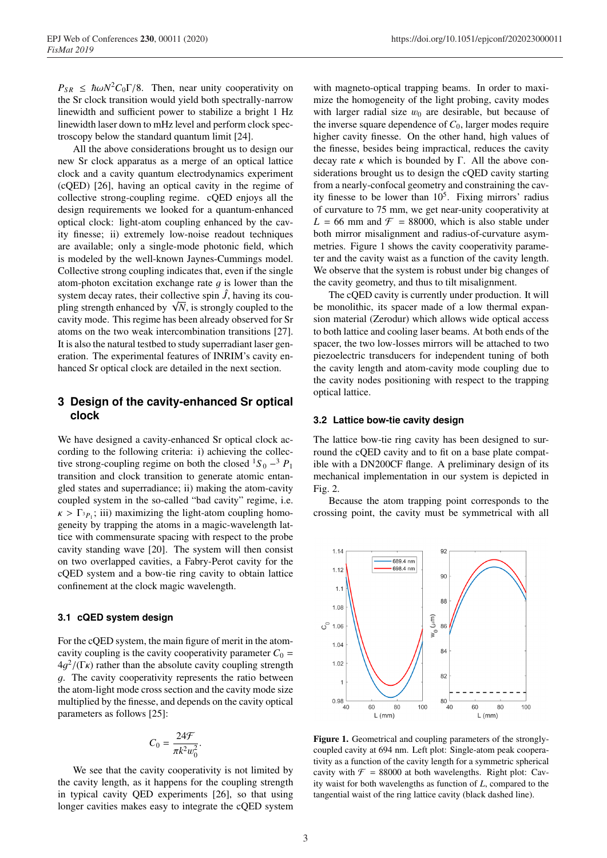$P_{SR} \leq \hbar \omega N^2 C_0 \Gamma / 8$ . Then, near unity cooperativity on the Sr clock transition would yield both spectrally-narrow linewidth and sufficient power to stabilize a bright 1 Hz linewidth laser down to mHz level and perform clock spectroscopy below the standard quantum limit [24].

All the above considerations brought us to design our new Sr clock apparatus as a merge of an optical lattice clock and a cavity quantum electrodynamics experiment (cQED) [26], having an optical cavity in the regime of collective strong-coupling regime. cQED enjoys all the design requirements we looked for a quantum-enhanced optical clock: light-atom coupling enhanced by the cavity finesse; ii) extremely low-noise readout techniques are available; only a single-mode photonic field, which is modeled by the well-known Jaynes-Cummings model. Collective strong coupling indicates that, even if the single atom-photon excitation exchange rate  $q$  is lower than the system decay rates, their collective spin  $\hat{J}$ , having its coupling strength enhanced by  $\sqrt{N}$ , is strongly coupled to the cavity mode. This regime has been already observed for Sr atoms on the two weak intercombination transitions [27]. It is also the natural testbed to study superradiant laser generation. The experimental features of INRIM's cavity enhanced Sr optical clock are detailed in the next section.

## **3 Design of the cavity-enhanced Sr optical clock**

We have designed a cavity-enhanced Sr optical clock according to the following criteria: i) achieving the collective strong-coupling regime on both the closed  ${}^{1}S_0 - {}^{3}P_1$ transition and clock transition to generate atomic entangled states and superradiance; ii) making the atom-cavity coupled system in the so-called "bad cavity" regime, i.e.  $\kappa > \Gamma_{3p_1}$ ; iii) maximizing the light-atom coupling homogeneity by trapping the atoms in a magic-wavelength lattice with commensurate spacing with respect to the probe cavity standing wave [20]. The system will then consist on two overlapped cavities, a Fabry-Perot cavity for the cQED system and a bow-tie ring cavity to obtain lattice confinement at the clock magic wavelength.

### **3.1 cQED system design**

For the cQED system, the main figure of merit in the atomcavity coupling is the cavity cooperativity parameter  $C_0$  =  $4q^2/(\Gamma_K)$  rather than the absolute cavity coupling strength g. The cavity cooperativity represents the ratio between the atom-light mode cross section and the cavity mode size multiplied by the finesse, and depends on the cavity optical parameters as follows [25]:

$$
C_0 = \frac{24\mathcal{F}}{\pi k^2 w_0^2}.
$$

We see that the cavity cooperativity is not limited by the cavity length, as it happens for the coupling strength in typical cavity QED experiments [26], so that using longer cavities makes easy to integrate the cQED system

with magneto-optical trapping beams. In order to maximize the homogeneity of the light probing, cavity modes with larger radial size  $w_0$  are desirable, but because of the inverse square dependence of  $C_0$ , larger modes require higher cavity finesse. On the other hand, high values of the finesse, besides being impractical, reduces the cavity decay rate  $\kappa$  which is bounded by Γ. All the above considerations brought us to design the cQED cavity starting from a nearly-confocal geometry and constraining the cavity finesse to be lower than  $10<sup>5</sup>$ . Fixing mirrors' radius of curvature to 75 mm, we get near-unity cooperativity at  $L = 66$  mm and  $\mathcal{F} = 88000$ , which is also stable under both mirror misalignment and radius-of-curvature asymmetries. Figure 1 shows the cavity cooperativity parameter and the cavity waist as a function of the cavity length. We observe that the system is robust under big changes of the cavity geometry, and thus to tilt misalignment.

The cQED cavity is currently under production. It will be monolithic, its spacer made of a low thermal expansion material (Zerodur) which allows wide optical access to both lattice and cooling laser beams. At both ends of the spacer, the two low-losses mirrors will be attached to two piezoelectric transducers for independent tuning of both the cavity length and atom-cavity mode coupling due to the cavity nodes positioning with respect to the trapping optical lattice.

#### **3.2 Lattice bow-tie cavity design**

The lattice bow-tie ring cavity has been designed to surround the cQED cavity and to fit on a base plate compatible with a DN200CF flange. A preliminary design of its mechanical implementation in our system is depicted in Fig. 2.

Because the atom trapping point corresponds to the crossing point, the cavity must be symmetrical with all



Figure 1. Geometrical and coupling parameters of the stronglycoupled cavity at 694 nm. Left plot: Single-atom peak cooperativity as a function of the cavity length for a symmetric spherical cavity with  $\mathcal{F} = 88000$  at both wavelengths. Right plot: Cavity waist for both wavelengths as function of *L*, compared to the tangential waist of the ring lattice cavity (black dashed line).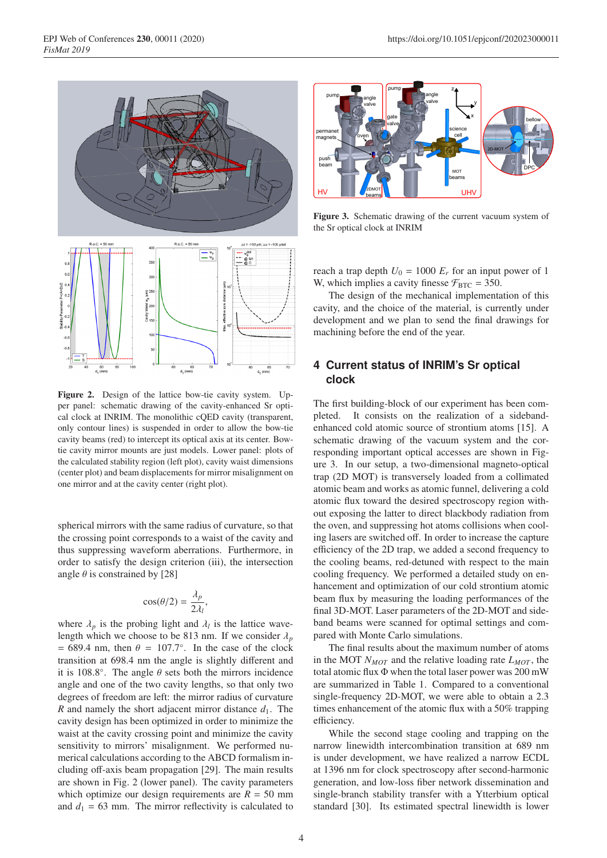

Figure 2. Design of the lattice bow-tie cavity system. Upper panel: schematic drawing of the cavity-enhanced Sr optical clock at INRIM. The monolithic cQED cavity (transparent, only contour lines) is suspended in order to allow the bow-tie cavity beams (red) to intercept its optical axis at its center. Bowtie cavity mirror mounts are just models. Lower panel: plots of the calculated stability region (left plot), cavity waist dimensions (center plot) and beam displacements for mirror misalignment on one mirror and at the cavity center (right plot).

spherical mirrors with the same radius of curvature, so that the crossing point corresponds to a waist of the cavity and thus suppressing waveform aberrations. Furthermore, in order to satisfy the design criterion (iii), the intersection angle  $\theta$  is constrained by [28]

$$
\cos(\theta/2) = \frac{\lambda_p}{2\lambda_l},
$$

where  $\lambda_p$  is the probing light and  $\lambda_l$  is the lattice wavelength which we choose to be 813 nm. If we consider  $\lambda_p$  $= 689.4$  nm, then  $\theta = 107.7^\circ$ . In the case of the clock transition at 698.4 nm the angle is slightly different and it is 108.8 $^{\circ}$ . The angle  $\theta$  sets both the mirrors incidence angle and one of the two cavity lengths, so that only two degrees of freedom are left: the mirror radius of curvature *R* and namely the short adjacent mirror distance  $d_1$ . The cavity design has been optimized in order to minimize the waist at the cavity crossing point and minimize the cavity sensitivity to mirrors' misalignment. We performed numerical calculations according to the ABCD formalism including off-axis beam propagation [29]. The main results are shown in Fig. 2 (lower panel). The cavity parameters which optimize our design requirements are  $R = 50$  mm and  $d_1 = 63$  mm. The mirror reflectivity is calculated to



Figure 3. Schematic drawing of the current vacuum system of the Sr optical clock at INRIM

reach a trap depth  $U_0 = 1000 E_r$  for an input power of 1 W, which implies a cavity finesse  $\mathcal{F}_{\text{BTC}} = 350$ .

The design of the mechanical implementation of this cavity, and the choice of the material, is currently under development and we plan to send the final drawings for machining before the end of the year.

# **4 Current status of INRIM's Sr optical clock**

The first building-block of our experiment has been completed. It consists on the realization of a sidebandenhanced cold atomic source of strontium atoms [15]. A schematic drawing of the vacuum system and the corresponding important optical accesses are shown in Figure 3. In our setup, a two-dimensional magneto-optical trap (2D MOT) is transversely loaded from a collimated atomic beam and works as atomic funnel, delivering a cold atomic flux toward the desired spectroscopy region without exposing the latter to direct blackbody radiation from the oven, and suppressing hot atoms collisions when cooling lasers are switched off. In order to increase the capture efficiency of the 2D trap, we added a second frequency to the cooling beams, red-detuned with respect to the main cooling frequency. We performed a detailed study on enhancement and optimization of our cold strontium atomic beam flux by measuring the loading performances of the final 3D-MOT. Laser parameters of the 2D-MOT and sideband beams were scanned for optimal settings and compared with Monte Carlo simulations.

The final results about the maximum number of atoms in the MOT  $N_{MOT}$  and the relative loading rate  $L_{MOT}$ , the total atomic flux Φ when the total laser power was 200 mW are summarized in Table 1. Compared to a conventional single-frequency 2D-MOT, we were able to obtain a 2.3 times enhancement of the atomic flux with a 50% trapping efficiency.

While the second stage cooling and trapping on the narrow linewidth intercombination transition at 689 nm is under development, we have realized a narrow ECDL at 1396 nm for clock spectroscopy after second-harmonic generation, and low-loss fiber network dissemination and single-branch stability transfer with a Ytterbium optical standard [30]. Its estimated spectral linewidth is lower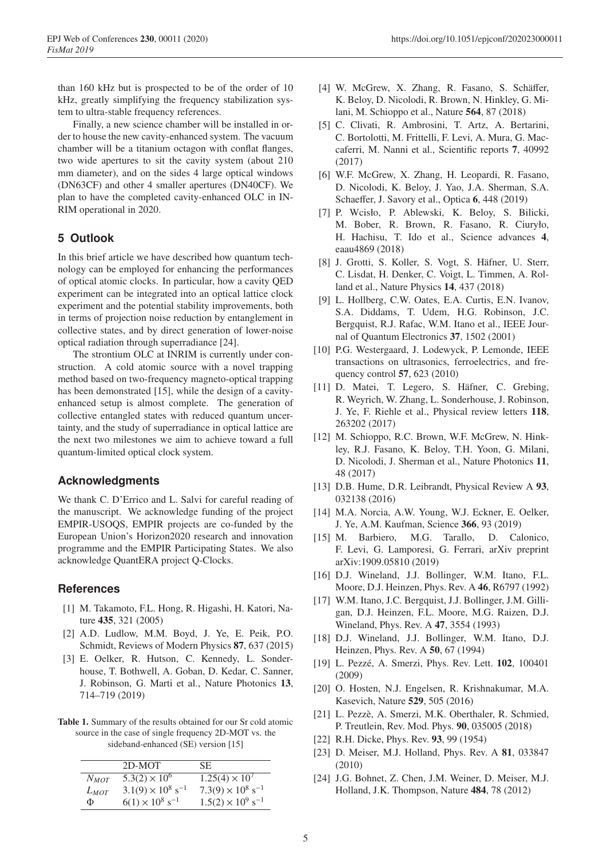than 160 kHz but is prospected to be of the order of 10 kHz, greatly simplifying the frequency stabilization system to ultra-stable frequency references.

Finally, a new science chamber will be installed in order to house the new cavity-enhanced system. The vacuum chamber will be a titanium octagon with conflat flanges, two wide apertures to sit the cavity system (about 210 mm diameter), and on the sides 4 large optical windows (DN63CF) and other 4 smaller apertures (DN40CF). We plan to have the completed cavity-enhanced OLC in IN-RIM operational in 2020.

# **5 Outlook**

In this brief article we have described how quantum technology can be employed for enhancing the performances of optical atomic clocks. In particular, how a cavity QED experiment can be integrated into an optical lattice clock experiment and the potential stability improvements, both in terms of projection noise reduction by entanglement in collective states, and by direct generation of lower-noise optical radiation through superradiance [24].

The strontium OLC at INRIM is currently under construction. A cold atomic source with a novel trapping method based on two-frequency magneto-optical trapping has been demonstrated [15], while the design of a cavityenhanced setup is almost complete. The generation of collective entangled states with reduced quantum uncertainty, and the study of superradiance in optical lattice are the next two milestones we aim to achieve toward a full quantum-limited optical clock system.

### **Acknowledgments**

We thank C. D'Errico and L. Salvi for careful reading of the manuscript. We acknowledge funding of the project EMPIR-USOQS, EMPIR projects are co-funded by the European Union's Horizon2020 research and innovation programme and the EMPIR Participating States. We also acknowledge QuantERA project Q-Clocks.

### **References**

- [1] M. Takamoto, F.L. Hong, R. Higashi, H. Katori, Nature 435, 321 (2005)
- [2] A.D. Ludlow, M.M. Boyd, J. Ye, E. Peik, P.O. Schmidt, Reviews of Modern Physics 87, 637 (2015)
- [3] E. Oelker, R. Hutson, C. Kennedy, L. Sonderhouse, T. Bothwell, A. Goban, D. Kedar, C. Sanner, J. Robinson, G. Marti et al., Nature Photonics 13, 714–719 (2019)

Table 1. Summary of the results obtained for our Sr cold atomic source in the case of single frequency 2D-MOT vs. the sideband-enhanced (SE) version [15]

|           | 2D-MOT                               | SE.                                  |
|-----------|--------------------------------------|--------------------------------------|
| $N_{MOT}$ | $5.3(2) \times 10^{6}$               | $1.25(4) \times 10^7$                |
| $L_{MOT}$ | $3.1(9) \times 10^8$ s <sup>-1</sup> | $7.3(9) \times 10^8$ s <sup>-1</sup> |
| Φ         | $6(1) \times 10^8$ s <sup>-1</sup>   | $1.5(2) \times 10^9$ s <sup>-1</sup> |

- [4] W. McGrew, X. Zhang, R. Fasano, S. Schäffer, K. Beloy, D. Nicolodi, R. Brown, N. Hinkley, G. Milani, M. Schioppo et al., Nature 564, 87 (2018)
- [5] C. Clivati, R. Ambrosini, T. Artz, A. Bertarini, C. Bortolotti, M. Frittelli, F. Levi, A. Mura, G. Maccaferri, M. Nanni et al., Scientific reports 7, 40992 (2017)
- [6] W.F. McGrew, X. Zhang, H. Leopardi, R. Fasano, D. Nicolodi, K. Beloy, J. Yao, J.A. Sherman, S.A. Schaeffer, J. Savory et al., Optica 6, 448 (2019)
- [7] P. Wcisło, P. Ablewski, K. Beloy, S. Bilicki, M. Bober, R. Brown, R. Fasano, R. Ciuryło, H. Hachisu, T. Ido et al., Science advances 4, eaau4869 (2018)
- [8] J. Grotti, S. Koller, S. Vogt, S. Häfner, U. Sterr, C. Lisdat, H. Denker, C. Voigt, L. Timmen, A. Rolland et al., Nature Physics 14, 437 (2018)
- [9] L. Hollberg, C.W. Oates, E.A. Curtis, E.N. Ivanov, S.A. Diddams, T. Udem, H.G. Robinson, J.C. Bergquist, R.J. Rafac, W.M. Itano et al., IEEE Journal of Quantum Electronics 37, 1502 (2001)
- [10] P.G. Westergaard, J. Lodewyck, P. Lemonde, IEEE transactions on ultrasonics, ferroelectrics, and frequency control 57, 623 (2010)
- [11] D. Matei, T. Legero, S. Häfner, C. Grebing, R. Weyrich, W. Zhang, L. Sonderhouse, J. Robinson, J. Ye, F. Riehle et al., Physical review letters 118, 263202 (2017)
- [12] M. Schioppo, R.C. Brown, W.F. McGrew, N. Hinkley, R.J. Fasano, K. Beloy, T.H. Yoon, G. Milani, D. Nicolodi, J. Sherman et al., Nature Photonics 11, 48 (2017)
- [13] D.B. Hume, D.R. Leibrandt, Physical Review A 93, 032138 (2016)
- [14] M.A. Norcia, A.W. Young, W.J. Eckner, E. Oelker, J. Ye, A.M. Kaufman, Science 366, 93 (2019)
- [15] M. Barbiero, M.G. Tarallo, D. Calonico, F. Levi, G. Lamporesi, G. Ferrari, arXiv preprint arXiv:1909.05810 (2019)
- [16] D.J. Wineland, J.J. Bollinger, W.M. Itano, F.L. Moore, D.J. Heinzen, Phys. Rev. A 46, R6797 (1992)
- [17] W.M. Itano, J.C. Bergquist, J.J. Bollinger, J.M. Gilligan, D.J. Heinzen, F.L. Moore, M.G. Raizen, D.J. Wineland, Phys. Rev. A 47, 3554 (1993)
- [18] D.J. Wineland, J.J. Bollinger, W.M. Itano, D.J. Heinzen, Phys. Rev. A 50, 67 (1994)
- [19] L. Pezzé, A. Smerzi, Phys. Rev. Lett. **102**, 100401 (2009)
- [20] O. Hosten, N.J. Engelsen, R. Krishnakumar, M.A. Kasevich, Nature 529, 505 (2016)
- [21] L. Pezzè, A. Smerzi, M.K. Oberthaler, R. Schmied, P. Treutlein, Rev. Mod. Phys. 90, 035005 (2018)
- [22] R.H. Dicke, Phys. Rev. 93, 99 (1954)
- [23] D. Meiser, M.J. Holland, Phys. Rev. A 81, 033847 (2010)
- [24] J.G. Bohnet, Z. Chen, J.M. Weiner, D. Meiser, M.J. Holland, J.K. Thompson, Nature 484, 78 (2012)